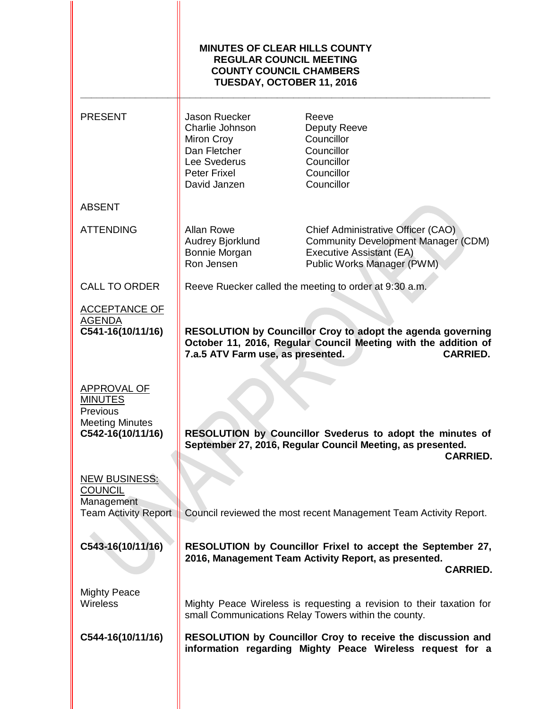|                                                                                          | <b>MINUTES OF CLEAR HILLS COUNTY</b><br><b>REGULAR COUNCIL MEETING</b><br><b>COUNTY COUNCIL CHAMBERS</b><br>TUESDAY, OCTOBER 11, 2016                                                 |                                                                                                                                                   |  |  |
|------------------------------------------------------------------------------------------|---------------------------------------------------------------------------------------------------------------------------------------------------------------------------------------|---------------------------------------------------------------------------------------------------------------------------------------------------|--|--|
| <b>PRESENT</b>                                                                           | Jason Ruecker<br>Charlie Johnson<br>Miron Croy<br>Dan Fletcher<br>Lee Svederus<br><b>Peter Frixel</b><br>David Janzen                                                                 | Reeve<br>Deputy Reeve<br>Councillor<br>Councillor<br>Councillor<br>Councillor<br>Councillor                                                       |  |  |
| <b>ABSENT</b>                                                                            |                                                                                                                                                                                       |                                                                                                                                                   |  |  |
| <b>ATTENDING</b>                                                                         | <b>Allan Rowe</b><br>Audrey Bjorklund<br>Bonnie Morgan<br>Ron Jensen                                                                                                                  | Chief Administrative Officer (CAO)<br><b>Community Development Manager (CDM)</b><br><b>Executive Assistant (EA)</b><br>Public Works Manager (PWM) |  |  |
| <b>CALL TO ORDER</b>                                                                     |                                                                                                                                                                                       | Reeve Ruecker called the meeting to order at 9:30 a.m.                                                                                            |  |  |
| <b>ACCEPTANCE OF</b><br><b>AGENDA</b><br>C541-16(10/11/16)                               | RESOLUTION by Councillor Croy to adopt the agenda governing<br>October 11, 2016, Regular Council Meeting with the addition of<br>7.a.5 ATV Farm use, as presented.<br><b>CARRIED.</b> |                                                                                                                                                   |  |  |
| APPROVAL OF<br><b>MINUTES</b><br>Previous<br><b>Meeting Minutes</b><br>C542-16(10/11/16) | RESOLUTION by Councillor Svederus to adopt the minutes of<br>September 27, 2016, Regular Council Meeting, as presented.                                                               |                                                                                                                                                   |  |  |
| <b>NEW BUSINESS:</b><br><b>COUNCIL</b>                                                   |                                                                                                                                                                                       | <b>CARRIED.</b>                                                                                                                                   |  |  |
| Management<br><b>Team Activity Report</b>                                                | Council reviewed the most recent Management Team Activity Report.                                                                                                                     |                                                                                                                                                   |  |  |
| C543-16(10/11/16)                                                                        | RESOLUTION by Councillor Frixel to accept the September 27,<br>2016, Management Team Activity Report, as presented.<br><b>CARRIED.</b>                                                |                                                                                                                                                   |  |  |
| <b>Mighty Peace</b><br><b>Wireless</b>                                                   |                                                                                                                                                                                       | Mighty Peace Wireless is requesting a revision to their taxation for<br>small Communications Relay Towers within the county.                      |  |  |
| C544-16(10/11/16)                                                                        | RESOLUTION by Councillor Croy to receive the discussion and<br>information regarding Mighty Peace Wireless request for a                                                              |                                                                                                                                                   |  |  |
|                                                                                          |                                                                                                                                                                                       |                                                                                                                                                   |  |  |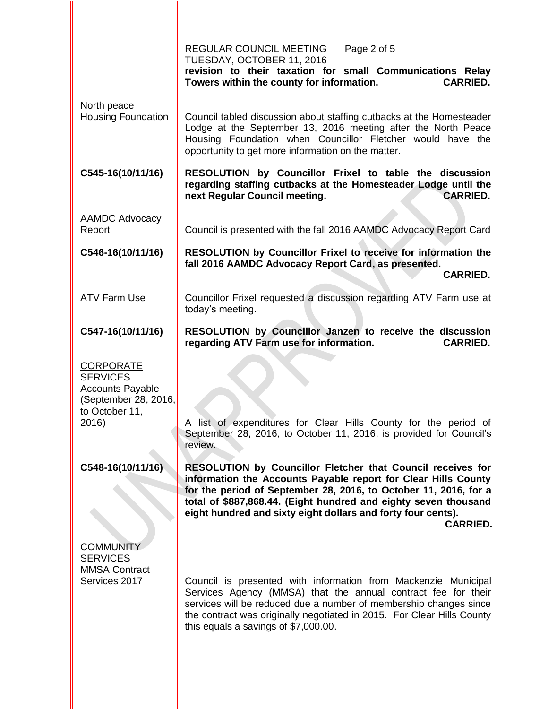|                                                                                                                   | REGULAR COUNCIL MEETING<br>Page 2 of 5<br>TUESDAY, OCTOBER 11, 2016<br>revision to their taxation for small Communications Relay<br><b>CARRIED.</b><br>Towers within the county for information.                                                                                                                                                               |
|-------------------------------------------------------------------------------------------------------------------|----------------------------------------------------------------------------------------------------------------------------------------------------------------------------------------------------------------------------------------------------------------------------------------------------------------------------------------------------------------|
| North peace<br><b>Housing Foundation</b>                                                                          | Council tabled discussion about staffing cutbacks at the Homesteader<br>Lodge at the September 13, 2016 meeting after the North Peace<br>Housing Foundation when Councillor Fletcher would have the<br>opportunity to get more information on the matter.                                                                                                      |
| C545-16(10/11/16)                                                                                                 | RESOLUTION by Councillor Frixel to table the discussion<br>regarding staffing cutbacks at the Homesteader Lodge until the<br><b>CARRIED.</b><br>next Regular Council meeting.                                                                                                                                                                                  |
| <b>AAMDC Advocacy</b><br>Report                                                                                   | Council is presented with the fall 2016 AAMDC Advocacy Report Card                                                                                                                                                                                                                                                                                             |
| C546-16(10/11/16)                                                                                                 | RESOLUTION by Councillor Frixel to receive for information the<br>fall 2016 AAMDC Advocacy Report Card, as presented.<br><b>CARRIED.</b>                                                                                                                                                                                                                       |
| <b>ATV Farm Use</b>                                                                                               | Councillor Frixel requested a discussion regarding ATV Farm use at<br>today's meeting.                                                                                                                                                                                                                                                                         |
| C547-16(10/11/16)                                                                                                 | RESOLUTION by Councillor Janzen to receive the discussion<br>regarding ATV Farm use for information.<br><b>CARRIED.</b>                                                                                                                                                                                                                                        |
| <b>CORPORATE</b><br><b>SERVICES</b><br><b>Accounts Payable</b><br>(September 28, 2016,<br>to October 11,<br>2016) | A list of expenditures for Clear Hills County for the period of<br>September 28, 2016, to October 11, 2016, is provided for Council's<br>review.                                                                                                                                                                                                               |
| C548-16(10/11/16)                                                                                                 | <b>RESOLUTION by Councillor Fletcher that Council receives for</b><br>information the Accounts Payable report for Clear Hills County<br>for the period of September 28, 2016, to October 11, 2016, for a<br>total of \$887,868.44. (Eight hundred and eighty seven thousand<br>eight hundred and sixty eight dollars and forty four cents).<br><b>CARRIED.</b> |
| <b>COMMUNITY</b><br><b>SERVICES</b><br><b>MMSA Contract</b><br>Services 2017                                      | Council is presented with information from Mackenzie Municipal<br>Services Agency (MMSA) that the annual contract fee for their<br>services will be reduced due a number of membership changes since<br>the contract was originally negotiated in 2015. For Clear Hills County<br>this equals a savings of \$7,000.00.                                         |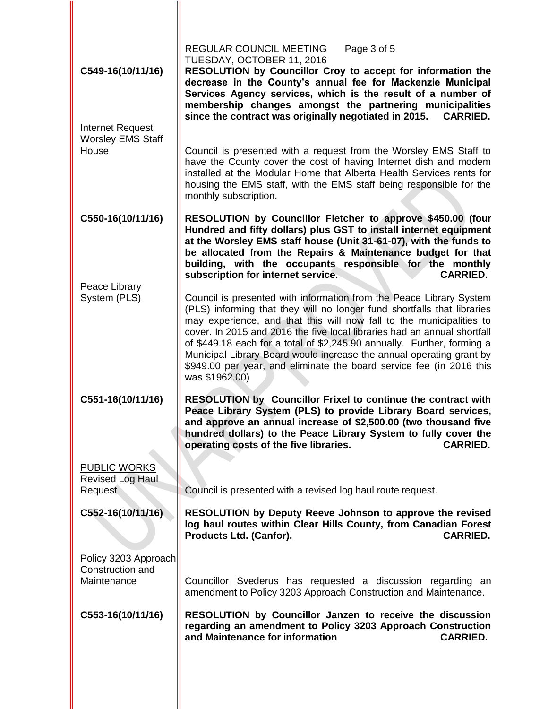| C549-16(10/11/16)<br>Internet Request<br><b>Worsley EMS Staff</b><br>House | REGULAR COUNCIL MEETING<br>Page 3 of 5<br>TUESDAY, OCTOBER 11, 2016<br>RESOLUTION by Councillor Croy to accept for information the<br>decrease in the County's annual fee for Mackenzie Municipal<br>Services Agency services, which is the result of a number of<br>membership changes amongst the partnering municipalities<br>since the contract was originally negotiated in 2015.<br><b>CARRIED.</b><br>Council is presented with a request from the Worsley EMS Staff to<br>have the County cover the cost of having Internet dish and modem |  |  |  |
|----------------------------------------------------------------------------|----------------------------------------------------------------------------------------------------------------------------------------------------------------------------------------------------------------------------------------------------------------------------------------------------------------------------------------------------------------------------------------------------------------------------------------------------------------------------------------------------------------------------------------------------|--|--|--|
|                                                                            | installed at the Modular Home that Alberta Health Services rents for<br>housing the EMS staff, with the EMS staff being responsible for the<br>monthly subscription.                                                                                                                                                                                                                                                                                                                                                                               |  |  |  |
| C550-16(10/11/16)<br>Peace Library                                         | RESOLUTION by Councillor Fletcher to approve \$450.00 (four<br>Hundred and fifty dollars) plus GST to install internet equipment<br>at the Worsley EMS staff house (Unit 31-61-07), with the funds to<br>be allocated from the Repairs & Maintenance budget for that<br>building, with the occupants responsible for the monthly<br><b>CARRIED.</b><br>subscription for internet service.                                                                                                                                                          |  |  |  |
| System (PLS)                                                               | Council is presented with information from the Peace Library System<br>(PLS) informing that they will no longer fund shortfalls that libraries<br>may experience, and that this will now fall to the municipalities to<br>cover. In 2015 and 2016 the five local libraries had an annual shortfall<br>of \$449.18 each for a total of \$2,245.90 annually. Further, forming a<br>Municipal Library Board would increase the annual operating grant by<br>\$949.00 per year, and eliminate the board service fee (in 2016 this<br>was \$1962.00)    |  |  |  |
| C551-16(10/11/16)                                                          | RESOLUTION by Councillor Frixel to continue the contract with<br>Peace Library System (PLS) to provide Library Board services,<br>and approve an annual increase of \$2,500.00 (two thousand five<br>hundred dollars) to the Peace Library System to fully cover the<br>operating costs of the five libraries.<br><b>CARRIED.</b>                                                                                                                                                                                                                  |  |  |  |
| <b>PUBLIC WORKS</b><br>Revised Log Haul<br>Request                         | Council is presented with a revised log haul route request.                                                                                                                                                                                                                                                                                                                                                                                                                                                                                        |  |  |  |
| C552-16(10/11/16)                                                          | RESOLUTION by Deputy Reeve Johnson to approve the revised<br>log haul routes within Clear Hills County, from Canadian Forest<br>Products Ltd. (Canfor).<br><b>CARRIED.</b>                                                                                                                                                                                                                                                                                                                                                                         |  |  |  |
| Policy 3203 Approach<br>Construction and<br>Maintenance                    | Councillor Svederus has requested a discussion regarding an<br>amendment to Policy 3203 Approach Construction and Maintenance.                                                                                                                                                                                                                                                                                                                                                                                                                     |  |  |  |
| C553-16(10/11/16)                                                          | RESOLUTION by Councillor Janzen to receive the discussion<br>regarding an amendment to Policy 3203 Approach Construction<br>and Maintenance for information<br><b>CARRIED.</b>                                                                                                                                                                                                                                                                                                                                                                     |  |  |  |

II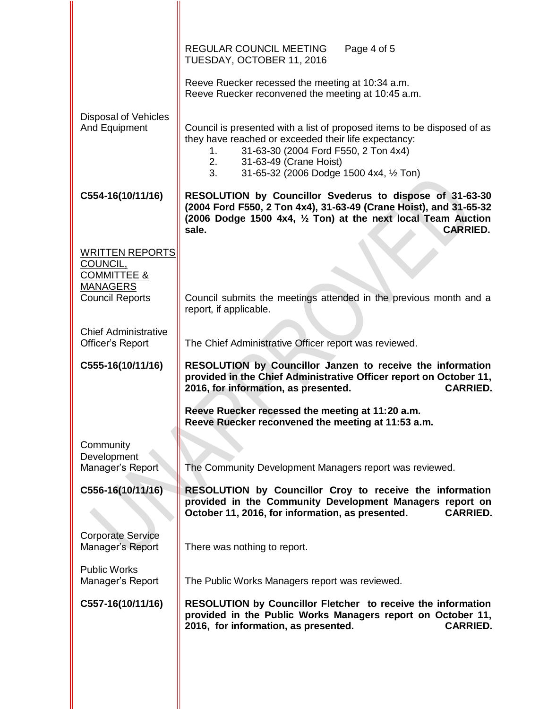|                                                                                 | <b>REGULAR COUNCIL MEETING</b><br>Page 4 of 5<br>TUESDAY, OCTOBER 11, 2016                                                                                                                                                                                     |  |  |  |  |
|---------------------------------------------------------------------------------|----------------------------------------------------------------------------------------------------------------------------------------------------------------------------------------------------------------------------------------------------------------|--|--|--|--|
|                                                                                 | Reeve Ruecker recessed the meeting at 10:34 a.m.<br>Reeve Ruecker reconvened the meeting at 10:45 a.m.                                                                                                                                                         |  |  |  |  |
| <b>Disposal of Vehicles</b><br>And Equipment                                    | Council is presented with a list of proposed items to be disposed of as<br>they have reached or exceeded their life expectancy:<br>31-63-30 (2004 Ford F550, 2 Ton 4x4)<br>1.<br>31-63-49 (Crane Hoist)<br>2.<br>3.<br>31-65-32 (2006 Dodge 1500 4x4, 1/2 Ton) |  |  |  |  |
| C554-16(10/11/16)                                                               | RESOLUTION by Councillor Svederus to dispose of 31-63-30<br>(2004 Ford F550, 2 Ton 4x4), 31-63-49 (Crane Hoist), and 31-65-32<br>(2006 Dodge 1500 4x4, 1/2 Ton) at the next local Team Auction<br>sale.<br><b>CARRIED.</b>                                     |  |  |  |  |
| <b>WRITTEN REPORTS</b><br>COUNCIL,<br><b>COMMITTEE &amp;</b><br><b>MANAGERS</b> |                                                                                                                                                                                                                                                                |  |  |  |  |
| <b>Council Reports</b>                                                          | Council submits the meetings attended in the previous month and a<br>report, if applicable.                                                                                                                                                                    |  |  |  |  |
| <b>Chief Administrative</b><br>Officer's Report                                 | The Chief Administrative Officer report was reviewed.                                                                                                                                                                                                          |  |  |  |  |
| C555-16(10/11/16)                                                               | RESOLUTION by Councillor Janzen to receive the information<br>provided in the Chief Administrative Officer report on October 11,<br>2016, for information, as presented.<br><b>CARRIED.</b>                                                                    |  |  |  |  |
|                                                                                 | Reeve Ruecker recessed the meeting at 11:20 a.m.<br>Reeve Ruecker reconvened the meeting at 11:53 a.m.                                                                                                                                                         |  |  |  |  |
| Community<br>Development<br>Manager's Report                                    | The Community Development Managers report was reviewed.                                                                                                                                                                                                        |  |  |  |  |
| C556-16(10/11/16)                                                               | RESOLUTION by Councillor Croy to receive the information<br>provided in the Community Development Managers report on<br>October 11, 2016, for information, as presented.<br><b>CARRIED.</b>                                                                    |  |  |  |  |
| <b>Corporate Service</b><br>Manager's Report                                    | There was nothing to report.                                                                                                                                                                                                                                   |  |  |  |  |
| <b>Public Works</b><br>Manager's Report                                         | The Public Works Managers report was reviewed.                                                                                                                                                                                                                 |  |  |  |  |
| C557-16(10/11/16)                                                               | RESOLUTION by Councillor Fletcher to receive the information<br>provided in the Public Works Managers report on October 11,<br>2016, for information, as presented.<br><b>CARRIED.</b>                                                                         |  |  |  |  |
|                                                                                 |                                                                                                                                                                                                                                                                |  |  |  |  |

II